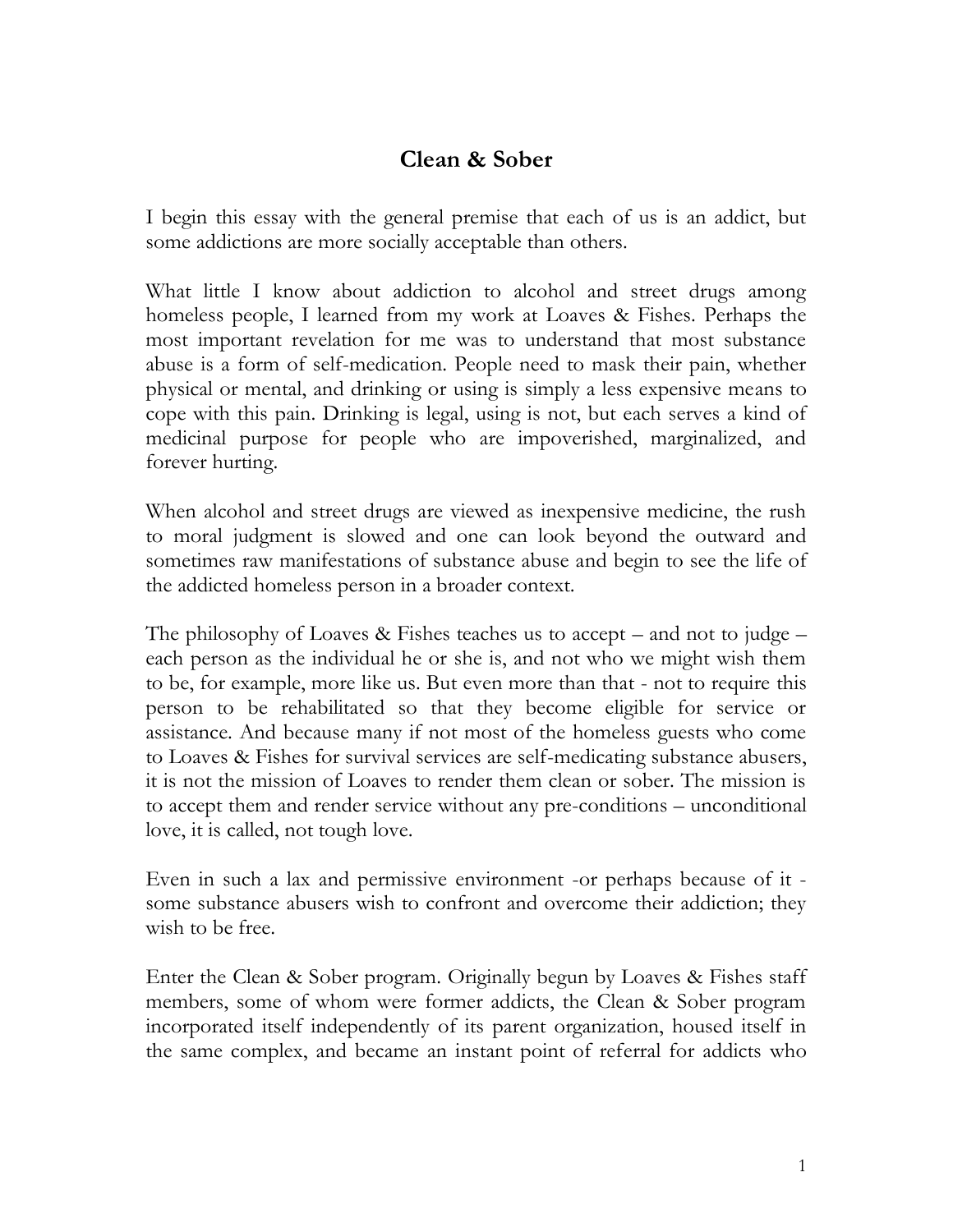## **Clean & Sober**

I begin this essay with the general premise that each of us is an addict, but some addictions are more socially acceptable than others.

What little I know about addiction to alcohol and street drugs among homeless people, I learned from my work at Loaves & Fishes. Perhaps the most important revelation for me was to understand that most substance abuse is a form of self-medication. People need to mask their pain, whether physical or mental, and drinking or using is simply a less expensive means to cope with this pain. Drinking is legal, using is not, but each serves a kind of medicinal purpose for people who are impoverished, marginalized, and forever hurting.

When alcohol and street drugs are viewed as inexpensive medicine, the rush to moral judgment is slowed and one can look beyond the outward and sometimes raw manifestations of substance abuse and begin to see the life of the addicted homeless person in a broader context.

The philosophy of Loaves & Fishes teaches us to accept – and not to judge – each person as the individual he or she is, and not who we might wish them to be, for example, more like us. But even more than that - not to require this person to be rehabilitated so that they become eligible for service or assistance. And because many if not most of the homeless guests who come to Loaves & Fishes for survival services are self-medicating substance abusers, it is not the mission of Loaves to render them clean or sober. The mission is to accept them and render service without any pre-conditions – unconditional love, it is called, not tough love.

Even in such a lax and permissive environment -or perhaps because of it some substance abusers wish to confront and overcome their addiction; they wish to be free.

Enter the Clean & Sober program. Originally begun by Loaves & Fishes staff members, some of whom were former addicts, the Clean & Sober program incorporated itself independently of its parent organization, housed itself in the same complex, and became an instant point of referral for addicts who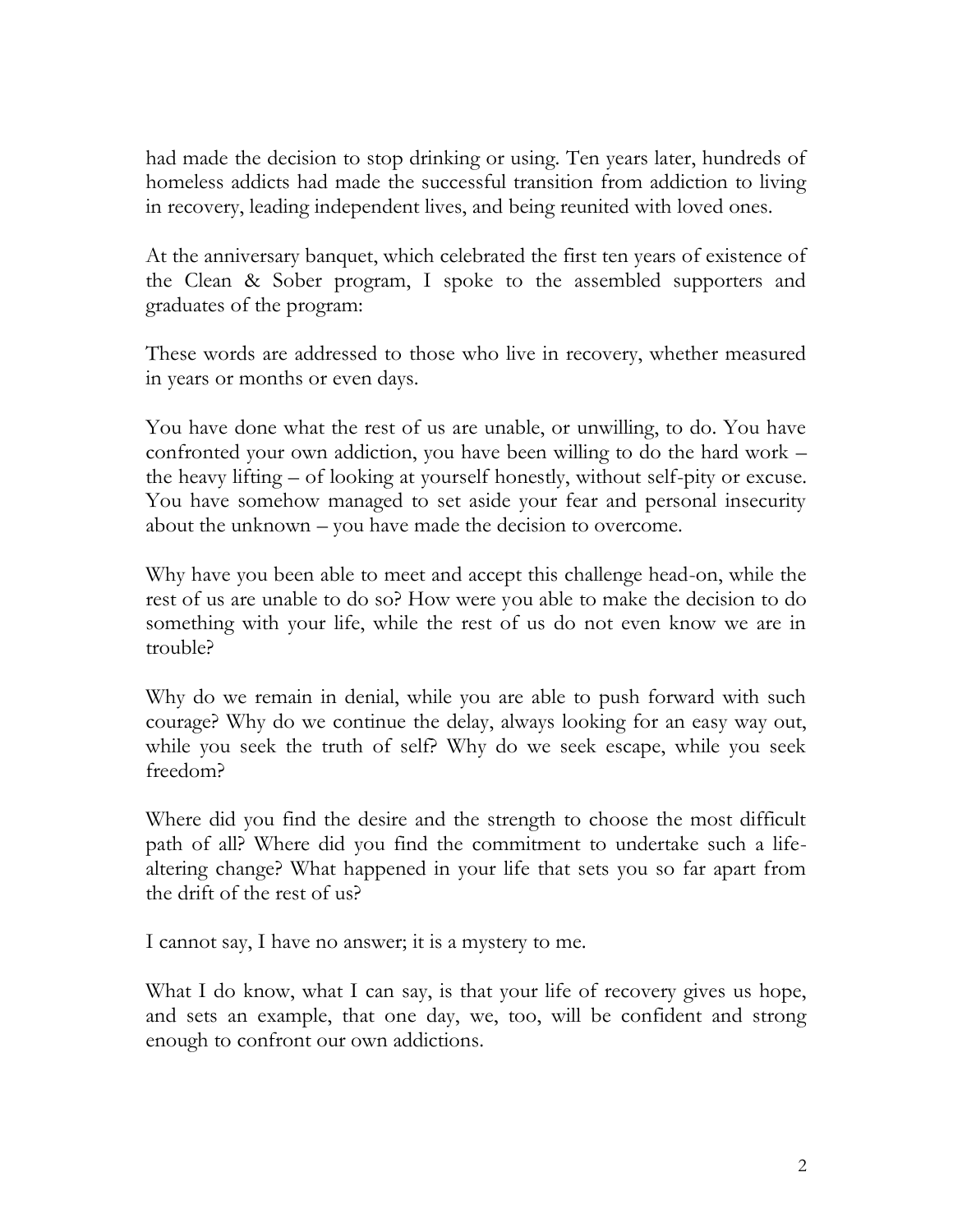had made the decision to stop drinking or using. Ten years later, hundreds of homeless addicts had made the successful transition from addiction to living in recovery, leading independent lives, and being reunited with loved ones.

At the anniversary banquet, which celebrated the first ten years of existence of the Clean & Sober program, I spoke to the assembled supporters and graduates of the program:

These words are addressed to those who live in recovery, whether measured in years or months or even days.

You have done what the rest of us are unable, or unwilling, to do. You have confronted your own addiction, you have been willing to do the hard work – the heavy lifting – of looking at yourself honestly, without self-pity or excuse. You have somehow managed to set aside your fear and personal insecurity about the unknown – you have made the decision to overcome.

Why have you been able to meet and accept this challenge head-on, while the rest of us are unable to do so? How were you able to make the decision to do something with your life, while the rest of us do not even know we are in trouble?

Why do we remain in denial, while you are able to push forward with such courage? Why do we continue the delay, always looking for an easy way out, while you seek the truth of self? Why do we seek escape, while you seek freedom?

Where did you find the desire and the strength to choose the most difficult path of all? Where did you find the commitment to undertake such a lifealtering change? What happened in your life that sets you so far apart from the drift of the rest of us?

I cannot say, I have no answer; it is a mystery to me.

What I do know, what I can say, is that your life of recovery gives us hope, and sets an example, that one day, we, too, will be confident and strong enough to confront our own addictions.